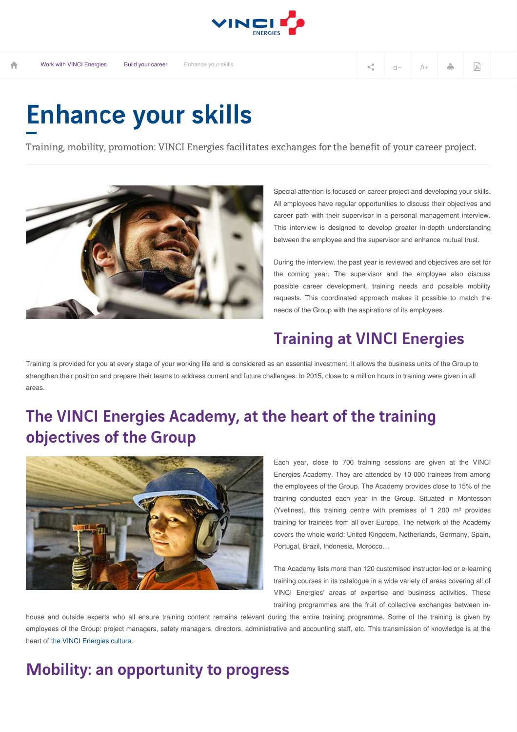

## Enhance your skills

Training, mobility, promotion: VINCI Energies facilitates exchanges for the benefit of your career project.



Special attention is focused on career project and developing your skills. All employees have regular opportunities to discuss their objectives and career path with their supervisor in a personal management interview. This interview is designed to develop greater in-depth understanding between the employee and the supervisor and enhance mutual trust.

During the interview, the past year is reviewed and objectives are set for the coming year. The supervisor and the employee also discuss possible career development, training needs and possible mobility requests. This coordinated approach makes it possible to match the needs of the Group with the aspirations of its employees.

## Training at VINCI Energies

Training is provided for you at every stage of your working life and is considered as an essential investment. It allows the business units of the Group to strengthen their position and prepare their teams to address current and future challenges. In 2015, close to a million hours in training were given in all areas.

## The VINCI Energies Academy, at the heart of the training objectives of the Group



Each year, close to 700 training sessions are given at the VINCI Energies Academy. They are attended by 10 000 trainees from among the employees of the Group. The Academy provides close to 15% of the training conducted each year in the Group. Situated in Montesson (Yvelines), this training centre with premises of 1 200 m² provides training for trainees from all over Europe. The network of the Academy covers the whole world: United Kingdom, Netherlands, Germany, Spain, Portugal, Brazil, Indonesia, Morocco…

The Academy lists more than 120 customised instructor-led or e-learning training courses in its catalogue in a wide variety of areas covering all of VINCI Energies' areas of expertise and business activities. These training programmes are the fruit of collective exchanges between in-

house and outside experts who all ensure training content remains relevant during the entire training programme. Some of the training is given by employees of the Group: project managers, safety managers, directors, administrative and accounting staff, etc. This transmission of knowledge is at the heart of the VINCI [Energies](http://www.vinci-energies.com/en/work-with-vinci-energies/build-your-career-with-vinci-energies/how-to-come-and-work-at-vinci-energies/) culture.

## Mobility: an opportunity to progress